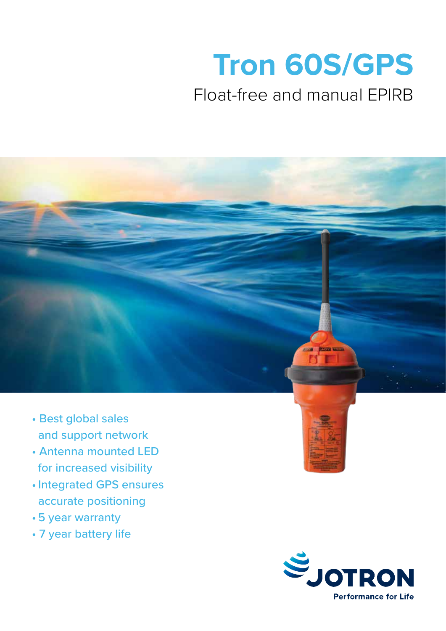# **Tron 60S/GPS**

## Float-free and manual EPIRB



- Best global sales and support network
- Antenna mounted LED for increased visibility
- •Integrated GPS ensures accurate positioning
- 5 year warranty
- 7 year battery life